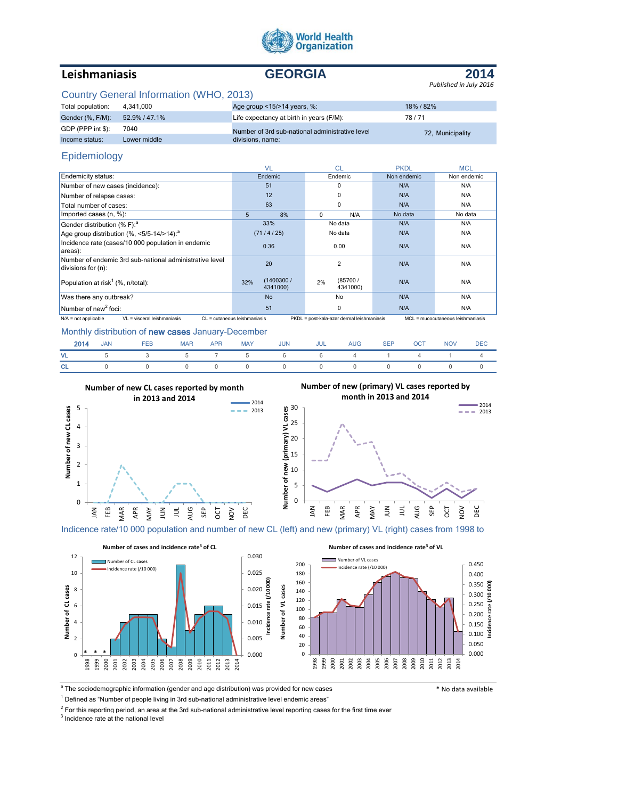

# **Leishmaniasis GEORGIA**



# Country General Information (WHO, 2013)

| Total population: | 4.341.000     | Age group $\leq$ 15/ $>$ 14 years, %:           | 18% / 82%        |
|-------------------|---------------|-------------------------------------------------|------------------|
| Gender (%, F/M):  | 52.9% / 47.1% | Life expectancy at birth in years (F/M):        | 78/71            |
| GDP (PPP int \$): | 7040          | Number of 3rd sub-national administrative level | 72, Municipality |
| Income status:    | Lower middle  | divisions, name:                                |                  |

# Epidemiology

|                                                                               | VI                           | <b>CL</b>                                  | <b>PKDL</b> | <b>MCL</b>                        |
|-------------------------------------------------------------------------------|------------------------------|--------------------------------------------|-------------|-----------------------------------|
| Endemicity status:                                                            | Endemic                      | Endemic                                    | Non endemic | Non endemic                       |
| Number of new cases (incidence):                                              | 51                           | $\Omega$                                   | N/A         | N/A                               |
| Number of relapse cases:                                                      | 12                           | 0                                          | N/A         | N/A                               |
| Total number of cases:                                                        | 63                           | $\Omega$                                   | N/A         | N/A                               |
| Imported cases (n, %):                                                        | 5<br>8%                      | $\Omega$<br>N/A                            | No data     | No data                           |
| Gender distribution (% F): <sup>a</sup>                                       | 33%                          | No data                                    | N/A         | N/A                               |
| Age group distribution $(\%,-5/5-14/>14)$ : <sup>a</sup>                      | (71/4/25)                    | No data                                    | N/A         | N/A                               |
| Incidence rate (cases/10 000 population in endemic<br>areas):                 | 0.36                         | 0.00                                       | N/A         | N/A                               |
| Number of endemic 3rd sub-national administrative level<br>divisions for (n): | 20                           | 2                                          | N/A         | N/A                               |
| Population at risk <sup>1</sup> (%, $n$ /total):                              | (1400300/<br>32%<br>4341000) | (85700/<br>2%<br>4341000)                  | N/A         | N/A                               |
| Was there any outbreak?                                                       | <b>No</b>                    | No                                         | N/A         | N/A                               |
| Number of new <sup>2</sup> foci:                                              | 51                           | 0                                          | N/A         | N/A                               |
| VL = visceral leishmaniasis<br>$N/A$ = not applicable                         | CL = cutaneous leishmaniasis | PKDL = post-kala-azar dermal leishmaniasis |             | MCL = mucocutaneous leishmaniasis |

Monthly distribution of new cases January-December

| 2014 | <b>JAN</b>     | FEB                     | <b>MAR</b> | <b>APR</b> | <b>MAY</b> | <b>JUN</b> | JUL | <b>AUG</b> | SEP OCT | <b>NOV</b> | DEC |
|------|----------------|-------------------------|------------|------------|------------|------------|-----|------------|---------|------------|-----|
| VL . |                | 5 3 5 7 5 6 6 4 1 4 1 4 |            |            |            |            |     |            |         |            |     |
| CL.  | $\overline{0}$ |                         |            |            |            |            |     |            |         |            |     |



Indicence rate/10 000 population and number of new CL (left) and new (primary) VL (right) cases from 1998 to



<sup>a</sup> The sociodemographic information (gender and age distribution) was provided for new cases **the sociolation of the sociolation** \* No data available

 $<sup>1</sup>$  Defined as "Number of people living in 3rd sub-national administrative level endemic areas"</sup>

 $^2$  For this reporting period, an area at the 3rd sub-national administrative level reporting cases for the first time ever

 $3$  Incidence rate at the national level

0.000 0.050  $0.100$   $\frac{3}{5}$  $0.150E$ 0.200 0.250 0.300 0.350 0.400 0.450

**Incidence rate (/10 000)**

 $-2014$  $\frac{2013}{2013}$ 

AUG SEP OCT NOV DEC